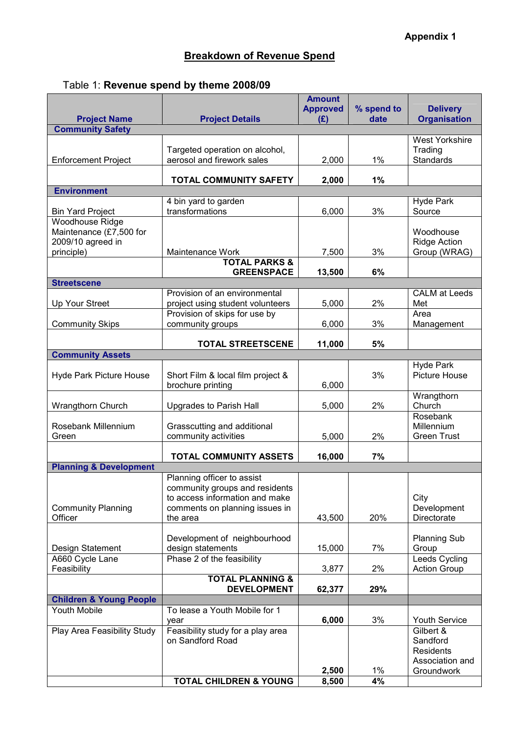## Breakdown of Revenue Spend

|  | Table 1: Revenue spend by theme 2008/09 |  |  |  |
|--|-----------------------------------------|--|--|--|
|--|-----------------------------------------|--|--|--|

|                                                |                                   | <b>Amount</b><br><b>Approved</b> | % spend to | <b>Delivery</b>            |
|------------------------------------------------|-----------------------------------|----------------------------------|------------|----------------------------|
| <b>Project Name</b><br><b>Community Safety</b> | <b>Project Details</b>            | (E)                              | date       | <b>Organisation</b>        |
|                                                |                                   |                                  |            | <b>West Yorkshire</b>      |
|                                                | Targeted operation on alcohol,    |                                  |            | Trading                    |
| <b>Enforcement Project</b>                     | aerosol and firework sales        | 2,000                            | 1%         | <b>Standards</b>           |
|                                                |                                   |                                  |            |                            |
|                                                | <b>TOTAL COMMUNITY SAFETY</b>     | 2,000                            | 1%         |                            |
| <b>Environment</b>                             |                                   |                                  |            |                            |
|                                                | 4 bin yard to garden              |                                  |            | <b>Hyde Park</b>           |
| <b>Bin Yard Project</b>                        | transformations                   | 6,000                            | 3%         | Source                     |
| Woodhouse Ridge                                |                                   |                                  |            |                            |
| Maintenance (£7,500 for                        |                                   |                                  |            | Woodhouse                  |
| 2009/10 agreed in                              |                                   |                                  |            | <b>Ridge Action</b>        |
| principle)                                     | Maintenance Work                  | 7,500                            | 3%         | Group (WRAG)               |
|                                                | <b>TOTAL PARKS &amp;</b>          |                                  |            |                            |
|                                                | <b>GREENSPACE</b>                 | 13,500                           | 6%         |                            |
| <b>Streetscene</b>                             |                                   |                                  |            |                            |
|                                                | Provision of an environmental     |                                  |            | <b>CALM</b> at Leeds       |
| Up Your Street                                 | project using student volunteers  | 5,000                            | 2%         | Met                        |
|                                                | Provision of skips for use by     |                                  |            | Area                       |
| <b>Community Skips</b>                         | community groups                  | 6,000                            | 3%         | Management                 |
|                                                |                                   |                                  |            |                            |
| <b>Community Assets</b>                        | <b>TOTAL STREETSCENE</b>          | 11,000                           | 5%         |                            |
|                                                |                                   |                                  |            | <b>Hyde Park</b>           |
| <b>Hyde Park Picture House</b>                 | Short Film & local film project & |                                  | 3%         | <b>Picture House</b>       |
|                                                | brochure printing                 | 6,000                            |            |                            |
|                                                |                                   |                                  |            | Wrangthorn                 |
| Wrangthorn Church                              | Upgrades to Parish Hall           | 5,000                            | 2%         | Church                     |
|                                                |                                   |                                  |            | Rosebank                   |
| Rosebank Millennium                            | Grasscutting and additional       |                                  |            | Millennium                 |
| Green                                          | community activities              | 5,000                            | 2%         | <b>Green Trust</b>         |
|                                                |                                   |                                  |            |                            |
|                                                | TOTAL COMMUNITY ASSETS            | 16,000                           | 7%         |                            |
| <b>Planning &amp; Development</b>              |                                   |                                  |            |                            |
|                                                | Planning officer to assist        |                                  |            |                            |
|                                                | community groups and residents    |                                  |            |                            |
|                                                | to access information and make    |                                  |            | City                       |
| <b>Community Planning</b><br>Officer           | comments on planning issues in    |                                  | 20%        | Development<br>Directorate |
|                                                | the area                          | 43,500                           |            |                            |
|                                                | Development of neighbourhood      |                                  |            | <b>Planning Sub</b>        |
| Design Statement                               | design statements                 | 15,000                           | 7%         | Group                      |
| A660 Cycle Lane                                | Phase 2 of the feasibility        |                                  |            | Leeds Cycling              |
| Feasibility                                    |                                   | 3,877                            | 2%         | <b>Action Group</b>        |
|                                                | <b>TOTAL PLANNING &amp;</b>       |                                  |            |                            |
|                                                | <b>DEVELOPMENT</b>                | 62,377                           | 29%        |                            |
| <b>Children &amp; Young People</b>             |                                   |                                  |            |                            |
| Youth Mobile                                   | To lease a Youth Mobile for 1     |                                  |            |                            |
|                                                | year                              | 6,000                            | 3%         | <b>Youth Service</b>       |
| Play Area Feasibility Study                    | Feasibility study for a play area |                                  |            | Gilbert &                  |
|                                                | on Sandford Road                  |                                  |            | Sandford                   |
|                                                |                                   |                                  |            | <b>Residents</b>           |
|                                                |                                   |                                  |            | Association and            |
|                                                |                                   | 2,500                            | $1\%$      | Groundwork                 |
|                                                | <b>TOTAL CHILDREN &amp; YOUNG</b> | 8,500                            | 4%         |                            |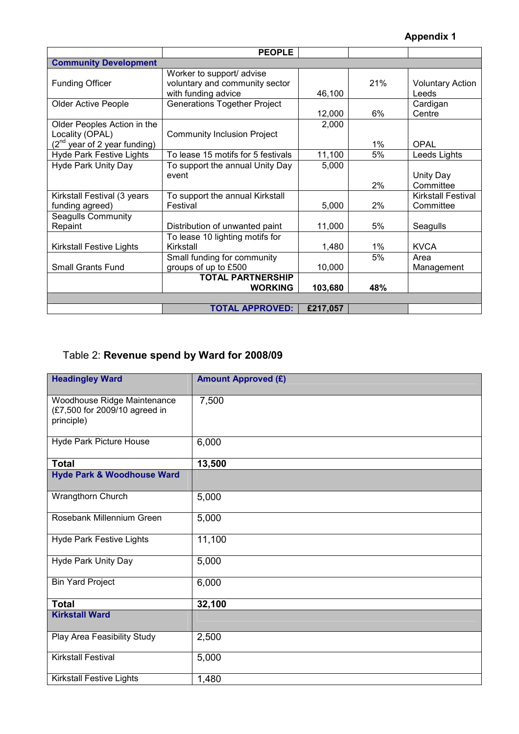|                                   | <b>PEOPLE</b>                       |          |     |                           |
|-----------------------------------|-------------------------------------|----------|-----|---------------------------|
| <b>Community Development</b>      |                                     |          |     |                           |
|                                   | Worker to support/ advise           |          |     |                           |
| <b>Funding Officer</b>            | voluntary and community sector      |          | 21% | <b>Voluntary Action</b>   |
|                                   | with funding advice                 | 46,100   |     | Leeds                     |
| <b>Older Active People</b>        | <b>Generations Together Project</b> |          |     | Cardigan                  |
|                                   |                                     | 12,000   | 6%  | Centre                    |
| Older Peoples Action in the       |                                     | 2,000    |     |                           |
| Locality (OPAL)                   | <b>Community Inclusion Project</b>  |          |     |                           |
| $(2^{nd}$ year of 2 year funding) |                                     |          | 1%  | OPAL                      |
| <b>Hyde Park Festive Lights</b>   | To lease 15 motifs for 5 festivals  | 11,100   | 5%  | Leeds Lights              |
| <b>Hyde Park Unity Day</b>        | To support the annual Unity Day     | 5,000    |     |                           |
|                                   | event                               |          |     | Unity Day                 |
|                                   |                                     |          | 2%  | Committee                 |
| Kirkstall Festival (3 years       | To support the annual Kirkstall     |          |     | <b>Kirkstall Festival</b> |
| funding agreed)                   | Festival                            | 5,000    | 2%  | Committee                 |
| Seagulls Community                |                                     |          |     |                           |
| Repaint                           | Distribution of unwanted paint      | 11,000   | 5%  | Seagulls                  |
|                                   | To lease 10 lighting motifs for     |          |     |                           |
| Kirkstall Festive Lights          | Kirkstall                           | 1,480    | 1%  | <b>KVCA</b>               |
|                                   | Small funding for community         |          | 5%  | Area                      |
| <b>Small Grants Fund</b>          | groups of up to £500                | 10,000   |     | Management                |
|                                   | <b>TOTAL PARTNERSHIP</b>            |          |     |                           |
|                                   | <b>WORKING</b>                      | 103,680  | 48% |                           |
|                                   |                                     |          |     |                           |
|                                   | <b>TOTAL APPROVED:</b>              | £217,057 |     |                           |

## Table 2: Revenue spend by Ward for 2008/09

| <b>Headingley Ward</b>                                                     | <b>Amount Approved (£)</b> |
|----------------------------------------------------------------------------|----------------------------|
| Woodhouse Ridge Maintenance<br>(£7,500 for 2009/10 agreed in<br>principle) | 7,500                      |
| Hyde Park Picture House                                                    | 6,000                      |
| <b>Total</b>                                                               | 13,500                     |
| <b>Hyde Park &amp; Woodhouse Ward</b>                                      |                            |
| Wrangthorn Church                                                          | 5,000                      |
| Rosebank Millennium Green                                                  | 5,000                      |
| <b>Hyde Park Festive Lights</b>                                            | 11,100                     |
| <b>Hyde Park Unity Day</b>                                                 | 5,000                      |
| <b>Bin Yard Project</b>                                                    | 6,000                      |
| <b>Total</b>                                                               | 32,100                     |
| <b>Kirkstall Ward</b>                                                      |                            |
| Play Area Feasibility Study                                                | 2,500                      |
| <b>Kirkstall Festival</b>                                                  | 5,000                      |
| <b>Kirkstall Festive Lights</b>                                            | 1,480                      |